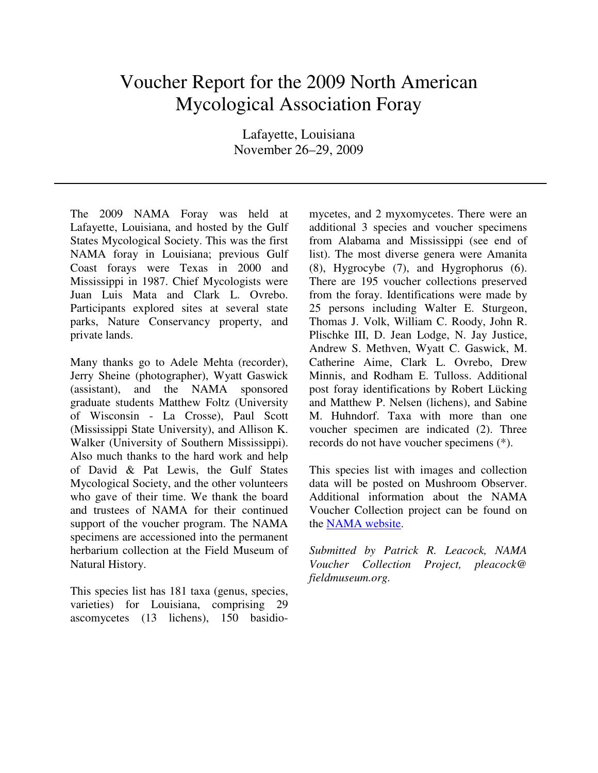## Voucher Report for the 2009 North American Mycological Association Foray

Lafayette, Louisiana November 26–29, 2009

The 2009 NAMA Foray was held at Lafayette, Louisiana, and hosted by the Gulf States Mycological Society. This was the first NAMA foray in Louisiana; previous Gulf Coast forays were Texas in 2000 and Mississippi in 1987. Chief Mycologists were Juan Luis Mata and Clark L. Ovrebo. Participants explored sites at several state parks, Nature Conservancy property, and private lands.

Many thanks go to Adele Mehta (recorder), Jerry Sheine (photographer), Wyatt Gaswick (assistant), and the NAMA sponsored graduate students Matthew Foltz (University of Wisconsin - La Crosse), Paul Scott (Mississippi State University), and Allison K. Walker (University of Southern Mississippi). Also much thanks to the hard work and help of David & Pat Lewis, the Gulf States Mycological Society, and the other volunteers who gave of their time. We thank the board and trustees of NAMA for their continued support of the voucher program. The NAMA specimens are accessioned into the permanent herbarium collection at the Field Museum of Natural History.

This species list has 181 taxa (genus, species, varieties) for Louisiana, comprising 29 ascomycetes (13 lichens), 150 basidiomycetes, and 2 myxomycetes. There were an additional 3 species and voucher specimens from Alabama and Mississippi (see end of list). The most diverse genera were Amanita (8), Hygrocybe (7), and Hygrophorus (6). There are 195 voucher collections preserved from the foray. Identifications were made by 25 persons including Walter E. Sturgeon, Thomas J. Volk, William C. Roody, John R. Plischke III, D. Jean Lodge, N. Jay Justice, Andrew S. Methven, Wyatt C. Gaswick, M. Catherine Aime, Clark L. Ovrebo, Drew Minnis, and Rodham E. Tulloss. Additional post foray identifications by Robert Lücking and Matthew P. Nelsen (lichens), and Sabine M. Huhndorf. Taxa with more than one voucher specimen are indicated (2). Three records do not have voucher specimens (\*).

This species list with images and collection data will be posted on Mushroom Observer. Additional information about the NAMA Voucher Collection project can be found on the NAMA website.

*Submitted by Patrick R. Leacock, NAMA Voucher Collection Project, pleacock@ fieldmuseum.org.*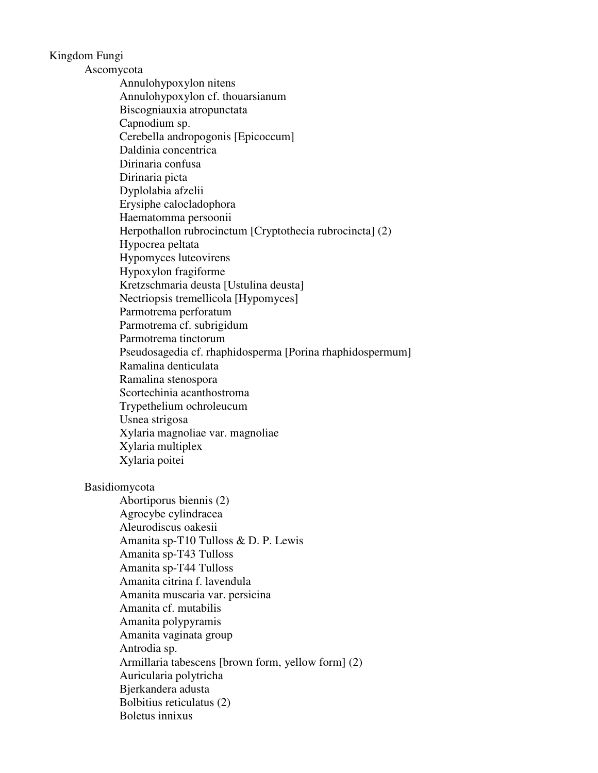Kingdom Fungi

Ascomycota

 Annulohypoxylon nitens Annulohypoxylon cf. thouarsianum Biscogniauxia atropunctata Capnodium sp. Cerebella andropogonis [Epicoccum] Daldinia concentrica Dirinaria confusa Dirinaria picta Dyplolabia afzelii Erysiphe calocladophora Haematomma persoonii Herpothallon rubrocinctum [Cryptothecia rubrocincta] (2) Hypocrea peltata Hypomyces luteovirens Hypoxylon fragiforme Kretzschmaria deusta [Ustulina deusta] Nectriopsis tremellicola [Hypomyces] Parmotrema perforatum Parmotrema cf. subrigidum Parmotrema tinctorum Pseudosagedia cf. rhaphidosperma [Porina rhaphidospermum] Ramalina denticulata Ramalina stenospora Scortechinia acanthostroma Trypethelium ochroleucum Usnea strigosa Xylaria magnoliae var. magnoliae Xylaria multiplex Xylaria poitei

## Basidiomycota

 Abortiporus biennis (2) Agrocybe cylindracea Aleurodiscus oakesii Amanita sp-T10 Tulloss & D. P. Lewis Amanita sp-T43 Tulloss Amanita sp-T44 Tulloss Amanita citrina f. lavendula Amanita muscaria var. persicina Amanita cf. mutabilis Amanita polypyramis Amanita vaginata group Antrodia sp. Armillaria tabescens [brown form, yellow form] (2) Auricularia polytricha Bjerkandera adusta Bolbitius reticulatus (2) Boletus innixus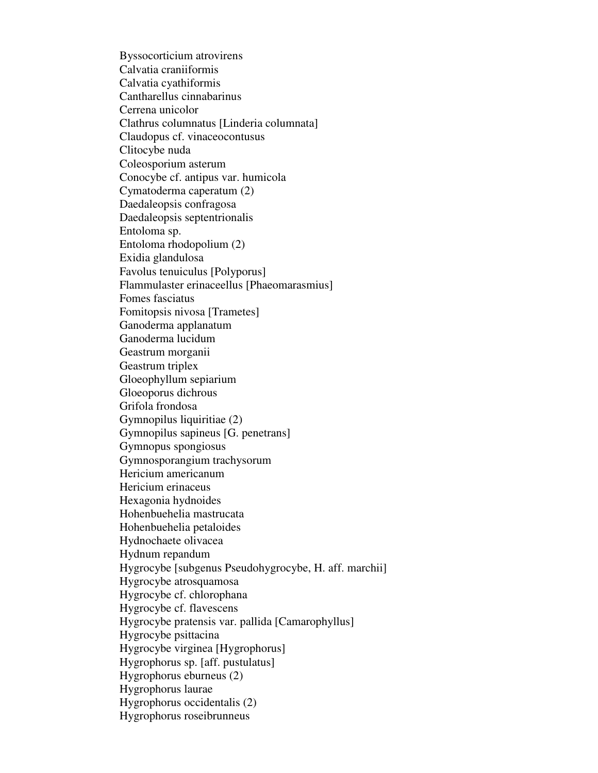Byssocorticium atrovirens Calvatia craniiformis Calvatia cyathiformis Cantharellus cinnabarinus Cerrena unicolor Clathrus columnatus [Linderia columnata] Claudopus cf. vinaceocontusus Clitocybe nuda Coleosporium asterum Conocybe cf. antipus var. humicola Cymatoderma caperatum (2) Daedaleopsis confragosa Daedaleopsis septentrionalis Entoloma sp. Entoloma rhodopolium (2) Exidia glandulosa Favolus tenuiculus [Polyporus] Flammulaster erinaceellus [Phaeomarasmius] Fomes fasciatus Fomitopsis nivosa [Trametes] Ganoderma applanatum Ganoderma lucidum Geastrum morganii Geastrum triplex Gloeophyllum sepiarium Gloeoporus dichrous Grifola frondosa Gymnopilus liquiritiae (2) Gymnopilus sapineus [G. penetrans] Gymnopus spongiosus Gymnosporangium trachysorum Hericium americanum Hericium erinaceus Hexagonia hydnoides Hohenbuehelia mastrucata Hohenbuehelia petaloides Hydnochaete olivacea Hydnum repandum Hygrocybe [subgenus Pseudohygrocybe, H. aff. marchii] Hygrocybe atrosquamosa Hygrocybe cf. chlorophana Hygrocybe cf. flavescens Hygrocybe pratensis var. pallida [Camarophyllus] Hygrocybe psittacina Hygrocybe virginea [Hygrophorus] Hygrophorus sp. [aff. pustulatus] Hygrophorus eburneus (2) Hygrophorus laurae Hygrophorus occidentalis (2) Hygrophorus roseibrunneus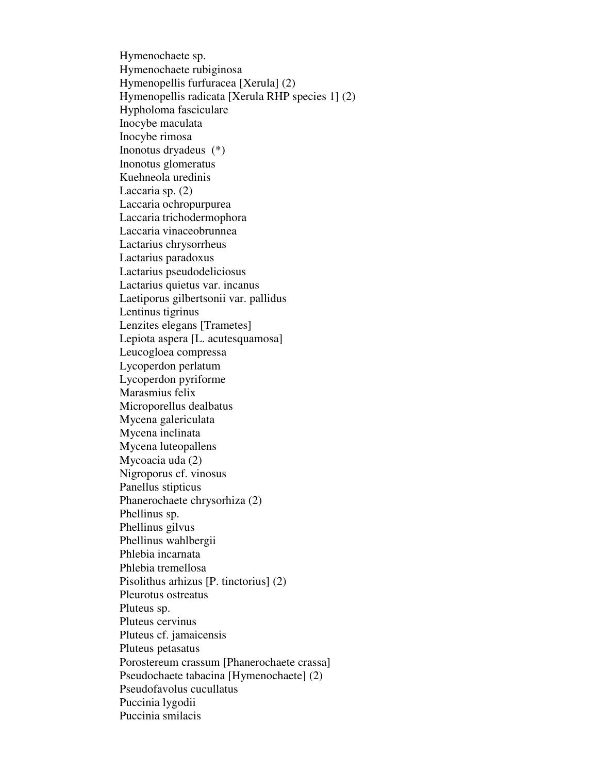Hymenochaete sp. Hymenochaete rubiginosa Hymenopellis furfuracea [Xerula] (2) Hymenopellis radicata [Xerula RHP species 1] (2) Hypholoma fasciculare Inocybe maculata Inocybe rimosa Inonotus dryadeus (\*) Inonotus glomeratus Kuehneola uredinis Laccaria sp. (2) Laccaria ochropurpurea Laccaria trichodermophora Laccaria vinaceobrunnea Lactarius chrysorrheus Lactarius paradoxus Lactarius pseudodeliciosus Lactarius quietus var. incanus Laetiporus gilbertsonii var. pallidus Lentinus tigrinus Lenzites elegans [Trametes] Lepiota aspera [L. acutesquamosa] Leucogloea compressa Lycoperdon perlatum Lycoperdon pyriforme Marasmius felix Microporellus dealbatus Mycena galericulata Mycena inclinata Mycena luteopallens Mycoacia uda (2) Nigroporus cf. vinosus Panellus stipticus Phanerochaete chrysorhiza (2) Phellinus sp. Phellinus gilvus Phellinus wahlbergii Phlebia incarnata Phlebia tremellosa Pisolithus arhizus [P. tinctorius] (2) Pleurotus ostreatus Pluteus sp. Pluteus cervinus Pluteus cf. jamaicensis Pluteus petasatus Porostereum crassum [Phanerochaete crassa] Pseudochaete tabacina [Hymenochaete] (2) Pseudofavolus cucullatus Puccinia lygodii Puccinia smilacis